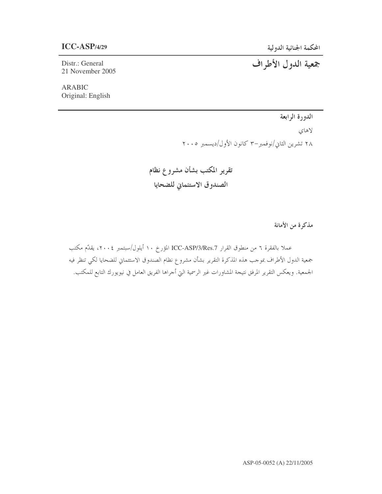Distr.: General 21 November 2005

**ARABIC** Original: English

# جمعية الدول الأطراف

الدورة الرابعة

لاهاي ٢٨ تشرين الثاني/نوفمبر-٣ كانون الأول/ديسمبر ٢٠٠٥

تقرير المكتب بشأن مشروع نظام الصندوق الاستئماني للضحايا

مذكرة من الأمانة

عملا بالفقرة ٦ من منطوق القرار ICC-ASP/3/Res.7 المؤرخ ١٠ أيلول/سبتمبر ٢٠٠٤، يقدّم مكتب جمعية الدول الأطراف بموحب هذه المذكرة التقرير بشأن مشروع نظام الصندوق الاستئماني للضحايا لكي تنظر فيه الجمعية. ويعكس التقرير المرفق نتيجة المشاورات غير الرسمية التي أحراها الفريق العامل في نيويورك التابع للمكتب.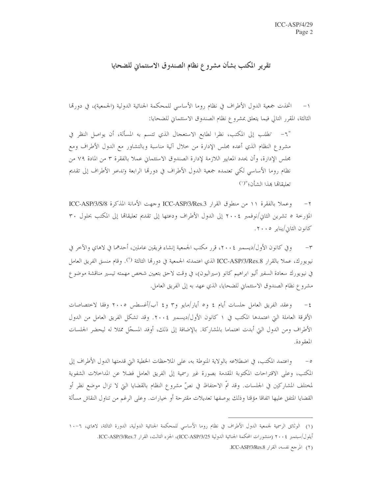## تقرير المكتب بشأن مشروع نظام الصندوق الاستئماني للضحايا

اتخذت جمعية الدول الأطراف في نظام روما الأساسي للمحكمة الجنائية الدولية (الجمعية)، في دورتما  $-1$ الثالثة، المقرر التالي فيما يتعلق بمشروع نظام الصندوق الاستئماني للضحايا:

"٦- تطلب إلى المكتب، نظرا لطابع الاستعجال الذي تتسم به المسألة، أن يواصل النظر في مشروع النظام الذي أعده مجلس الإدارة من خلال آلية مناسبة وبالتشاور مع الدول الأطراف ومع مجلس الإدارة، وأن يحدد المعايير اللازمة لإدارة الصندوق الاستئماني عملا بالفقرة ٣ من المادة ٧٩ من نظام روما الأساسي لكي تعتمده جمعية الدول الأطراف في دورتما الرابعة و*تدعو* الأطراف إلى تقديم تعليقاها هذا الشأن؛ "(`)

وعملا بالفقرة ١١ من منطوق القرار ICC-ASP/3/Res.3 وجهت الأمانة المذكرة ICC-ASP/3/S/8  $-\tau$ المؤرخة ٥ تشرين الثاني/نوفمبر ٢٠٠٤ إلى الدول الأطراف ودعتها إلى تقديم تعليقاقما إلى المكتب بحلول ٣٠ كانون الثابي/يناير ٢٠٠٥.

وفي كانون الأول/ديسمبر ٢٠٠٤، قرر مكتب الجمعية إنشاء فريقين عاملين، أحدهما في لاهاي والآخر في  $-\tau$ نيويورك، عملا بالقرار ICC-ASP/3/Res.8 الذي اعتمدته الجمعية في دورها الثالثة <sup>(٢)</sup>. وقام منسق الفريق العامل في نيويورك سعادة السفير أليو ابراهيم كانو (سيراليون)، في وقت لاحق بتعيين شخص مهمته تيسير مناقشة موضوع مشروع نظام الصندوق الاستئماني للضحايا، الذي عهد به إلى الفريق العامل.

وعقد الفريق العامل حلسات أيام ٤ و٥ أيار/مايو و٣ و٤ آب/أغسطس ٢٠٠٥ وفقا لاختصاصات  $-\xi$ الأفرقة العاملة التي اعتمدها المكتب في ١ كانون الأول/ديسمبر ٢٠٠٤. وقد تشكل الفريق العامل من الدول الأطراف ومن الدول التي أبدت اهتماما بالمشاركة. بالإضافة إلى ذلك، أوفد المسجّل ممثلاً له ليحضر الجلسات المعقودة.

واعتمد المكتب، في اضطلاعه بالولاية المنوطة به، على الملاحظات الخطية التي قدمتها الدول الأطراف إلى  $-$  0 المكتب، وعلى الاقتراحات المكتوبة المقدمة بصورة غير رسمية إلى الفريق العامل فضلا عن المداحلات الشفوية لمختلف المشاركين في الجلسات. وقد تمَّ الاحتفاظ في نصَّ مشروع النظام بالقضايا التي لا تزال موضع نظر أو القضايا المتفق عليها اتفاقا مؤقتا وذلك بوصفها تعديلات مقترحة أو خيارات. وعلى الرغم من تناول النقاش مسألة

<sup>(</sup>١) الوثائق الرسمية لجمعية الدول الأطراف في نظام روما الأساسي للمحكمة الجنائية الدولية، الدورة الثالثة، لاهاي، ٦-١٠ أيلول/سبتمبر ٢٠٠٤ (منشورات المحكمة الجنائية الدولية ICC-ASP/3/25)، الجزء الثالث، القرار ICC-ASP/3/Res.7.

<sup>(</sup>٢) المرجع نفسه، القرار ICC-ASP/3/Res.8.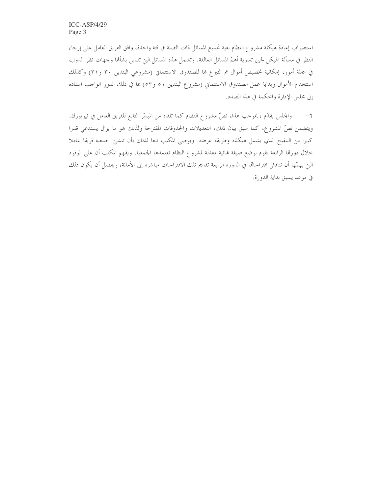استصواب إعادة هيكلة مشروع النظام بغية تجميع المسائل ذات الصلة في فئة واحدة، وافق الفريق العامل على إرحاء النظر في مسألة الهيكل لحين تسوية أهمّ المسائل العالقة. وتشمل هذه المسائل التي تتباين بشألها وحهات نظر الدول، في جملة أمور، إمكانية تخصيص أموال تم التبرع بما للصندوق الاستئماني (مشروعي البندين ٣٠ و٣١) وكذلك استخدام الأموال وبداية عمل الصندوق الاستئماني (مشروع البندين ٥١ و٥٣) بما في ذلك الدور الواحب اسناده إلى مجلس الإدارة والمحكمة في هذا الصدد.

والمحلس يقلُّم ، بموجب هذا، نصَّ مشروع النظام كما تلقاه من الميسَّر التابع للفريق العامل في نيويورك.  $-7$ ويتضمن نصِّ المشروع، كما سبق بيان ذلك، التعديلات والحذوفات المقترحة ولذلك هو ما يزال يستدعى قدرا كبيرا من التنقيح الذي يشمل هيكلته وطريقة عرضه. ويوصى المكتب تبعا لذلك بأن تنشئ الجمعية فريقا عاملا خلال دورتما الرابعة يقوم بوضع صيغة نمائية معدلة لمشروع النظام تعتمدها الجمعية. ويفهم المكتب أن على الوفود التي يهمّها أن تناقش اقتراحالها في الدورة الرابعة تقديم تلك الاقتراحات مباشرة إلى الأمانة، ويفضل أن يكون ذلك في موعد يسبق بداية الدورة.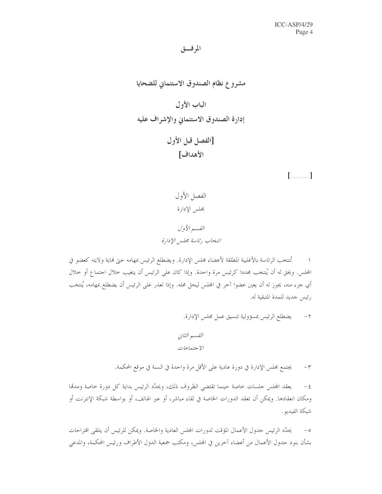الموفق

 $\left[\begin{array}{ccc} \begin{array}{ccc} \end{array} & \begin{array}{ccc} \end{array} & \begin{array}{ccc} \end{array} & \begin{array}{ccc} \end{array} & \begin{array}{ccc} \end{array} & \begin{array}{ccc} \end{array} & \begin{array}{ccc} \end{array} & \begin{array}{ccc} \end{array} & \begin{array}{ccc} \end{array} & \begin{array}{ccc} \end{array} & \begin{array}{ccc} \end{array} & \begin{array}{ccc} \end{array} & \begin{array}{ccc} \end{array} & \begin{array}{ccc} \end{array} & \begin{array}{ccc} \end{array} & \begin{array}{ccc} \end{array} & \begin{$ 

تُنتخب الرئاسة بالأغلبية المطلقة لأعضاء مجلس الإدارة. ويضطلع الرئيس بمهامه حتى فماية ولايته كعضو في المحلس. ويحق له أن يُنتخب مجددا كرئيس مرة واحدة. وإذا كان على الرئيس أن يتغيب حلال اجتماع أو حلال أي جزء منه، يجوز له أن يعين عضوا آخر في المحلس ليحل محله. وإذا تعذر على الرئيس أن يضطلع بمهامه، يُنتخب رئيس حديد للمدة المتبقية له.

القسم الثاني الاجتما*عات* 

يجتمع مجلس الإدارة في دورة عادية على الأقل مرة واحدة في السنة في موقع المحكمة.  $-\tau$ 

يعقد المجلس جلسات حاصة حينما تقتضى الظروف ذلك، ويحدَّد الرئيس بداية كل دورة حاصة ومدمَّا  $-\xi$ ومكان انعقادها. ويمكن أن تعقد الدورات الخاصة في لقاء مباشر، أو عبر الهاتف، أو بواسطة شبكة الإنترنت أو شبكة الفيديو .

يحدَّد الرئيس حدول الأعمال المؤقت لدورات المجلس العادية والخاصة. ويمكن للرئيس أن يتلقى اقتراحات  $-\circ$ بشأن بنود جدول الأعمال من أعضاء آخرين في المجلس، ومكتب جمعية الدول الأطراف ورئيس المحكمة، والمدعى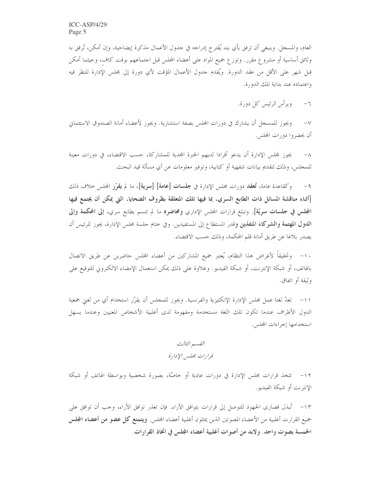العام، والمسجل. وينبغي أن ترفق بأي بند يُقترح إدراجه في جدول الأعمال مذكرة إيضاحية، وإن أمكن، تُرفق به وثائق أساسية أو مشروع مقرر. وتوزع جميع المواد على أعضاء المجلس قبل اجتماعهم بوقت كاف، وحيثما أمكن قبل شهر على الأقل من عقد الدورة. ويُقدم جدول الأعمال المؤقت لأي دورة إلى مجلس الإدارة للنظر فيه واعتماده عند بداية تلك الدورة.

> ويرأس الرئيس كل دورة.  $-7$

ويجوز للمسجل أن يشارك في دورات المحلس بصفة استشارية. ويجوز لأعضاء أمانة الصندوق الاستئماني  $-\lor$ أن يحضروا دورات المحلس.

يجوز لمجلس الإدارة أن يدعو أفرادا لديهم الخبرة المجدية للمشاركة، حسب الاقتضاء، في دورات معينة للمحلس، وذلك لتقديم بيانات شفهية أو كتابية، وتوفير معلومات عن أي مسألة قيد البحث.

٩- وكقاعدة عامة، تُعقد دورات مجلس الإدارة في **جلسات [عامة] [سرية]**، ما لم يقرّر المجلس حلاف ذلك [أثناء مناقشة المسائل ذات الطابع السري، بما فيها تلك المتعلقة بظروف الضحايا، التي يمكن أن يجتمع فيها المجلس في جلسات سريّة]. وتبلغ قرارات المجلس الإداري ومحاضوه ما لم تتسم بطابع سري، إلى المحكمة وإلى **الدول المهتمة والشركاء المنفذين و**قدر المستطاع إلى المستفيدين. وفي حتام حلسة مجلس الإدارة، يجوز للرئيس أن يصدر بلاغا عن طريق أمانة قلم المحكمة، وذلك حسب الاقتضاء.

١٠- وتحقيقاً لأغراض هذا النظام، يُعتبر جميع المشاركين من أعضاء المجلس حاضرين عن طريق الاتصال بالهاتف، أو شبكة الإنترنت، أو شبكة الفيديو. وعلاوة على ذلك يمكن استعمال الإمضاء الالكتروني للتوقيع على وثيقة أو اتفاق.

١١– تعدّ لغتا عمل مجلس الإدارة الإنكليزية والفرنسية. ويجوز للمحلس أن يقرّر استخدام أي من لغتي جمعية الدول الأطراف عندما تكون تلك اللغة مستخدمة ومفهومة لدى أغلبية الأشخاص المعنيين وعندما يسهل استخدامها إجراءات المحلس.

> القسم الثالث قرارات مجلس الإدارة

١٢– تتخذ قرارات مجلس الإدارة في دورات عادية أو خاصَّة، بصورة شخصية وبواسطة الهاتف أو شبكة الإنترنت أو شبكة الفيديو .

١٣- تُبذل قصارى الجهود للتوصل إلى قرارات بتوافق الآراء. فإن تعذر توافق الآراء، وحب أن توافق على جميع القرارت أغلبية من الأعضاء المصوتين الذين يمثلون أغلبية أعضاء المحلس. **ويتمتع كل عضو من أعضاء المجلس** الخمسة بصوت واحد. ولابد من أصوات أغلبية أعضاء المجلس في اتخاذ القرارات.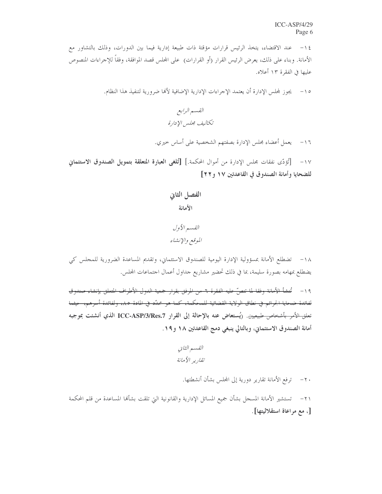عند الاقتضاء، يتخذ الرئيس قرارات مؤقتة ذات طبيعة إدارية فيما بين الدورات، وذلك بالتشاور مع  $-15$ الأمانة. وبناء على ذلك، يعرض الرئيس القرار (أو القرارات) ً على المحلس قصد الموافقة، وفقاً للإجراءات المنصوص عليها في الفقرة ١٣ أعلاه.

١٥– \_ يجوز لمجلس الإدارة أن يعتمد الإجراءات الإدارية الإضافية لألها ضرورية لتنفيذ هذا النظام.

١٦ – يعمل أعضاء مجلس الإدارة بصفتهم الشخصية على أساس حيري.

١٧- [أَءْدَّى نفقات مجلس الإدارة من أموال المحكمة.] [تُلغى العبارة المتعلقة بتمويل الصندوق الاستئماني للضحايا وأمانة الصندوق في القاعدتين ١٧ و ٢٢]

الفسير الأول الموقع والإنشاء

١٨- تضطلع الأمانة بمسؤولية الإدارة اليومية للصندوق الاستئماني، وتقديم المساعدة الضرورية للمجلس كي يضطلع بمهامه بصورة سليمة، بما في ذلك تحضير مشاريع جداول أعمال اجتماعات المحلس.

١٩- تُنشأ الأمانة وفقا لما تنصَّ عليه الفقرة ٦- من المرفق بقرار جمعية الدول الأطراف المتعلق بإنشاء صندوق لفائدة ضحايا الجرائم في نطاق الولاية القضائية للمحكمة، كما هو محدَّد في المادة ٨٥، ولفائدة أسرهم، حيثما تعلق الأمر بأشخاص طبيعيين. (يُستعاض عنه بالإحالة إلى القرار ICC-ASP/3/Res.7 الذي أنشئت بموجبه أمانة الصندوق الاستئماني، وبالتالي ينبغي دمج القاعدتين ١٨ و١٩.

٢٠ – ترفع الأمانة تقارير دورية إلى المجلس بشأن أنشطتها.

٢١– تستشير الأمانة المسجل بشأن جميع المسائل الإدارية والقانونية التي تلقت بشألها المساعدة من قلم المحكمة [، مع مراعاة استقلاليتها].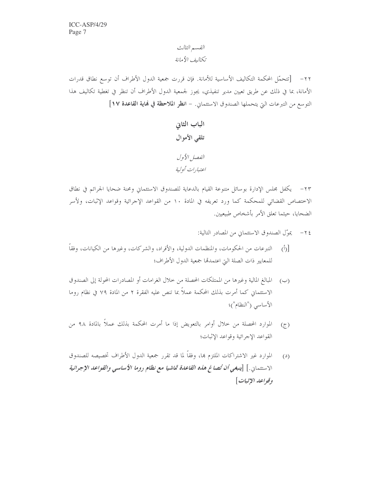٢٢– [تتحمَّل المحكمة التكاليف الأساسية للأمانة. فإن قررت جمعية الدول الأطراف أن توسع نطاق قدرات الأمانة، بما في ذلك عن طريق تعيين مدير تنفيذي، يجوز لجمعية الدول الأطراف أن تنظر في تغطية تكاليف هذا التوسع من التبرعات التي يتحملها الصندوق الاستئماني. - انظر الملاحظة في فماية القاعدة ١٧]

٢٣- يكفل مجلس الإدارة بوسائل متنوعة القيام بالدعاية للصندوق الاستئماني ومحنة ضحايا الجرائم في نطاق الاختصاص القضائي للمحكمة كما ورد تعريفه في المادة ١٠ من القواعد الإجرائية وقواعد الإثبات، ولأسر الضحايا، حيثما تعلق الأمر بأشخاص طبيعيين.

٢٤ - يموّل الصندوق الاستئماني من المصادر التالية:

- التبرعات من الحكومات، والمنظمات الدولية، والأفراد، والشركات، وغيرها من الكيانات، وفقاً  $\langle \dot{a} \rangle$ للمعايير ذات الصلة التي اعتمدتما جمعية الدول الأطراف؛
- (ب) المبالغ المالية وغيرها من الممتلكات المحصلة من خلال الغرامات أو المصادرات المحولة إلى الصندوق الاستئماني كما أمرت بذلك المحكمة عملاً بما تنص عليه الفقرة ٢ من المادة ٧٩ في نظام روما الأساسي ("النظام")؛
- الموارد المحصلة من خلال أوامر بالتعويض إذا ما أمرت المحكمة بذلك عملاً بالمادة ٩٨ من  $(7)$ القواعد الإجرائية وقواعد الإثبات؛
- الموارد غير الاشتراكات الملتزم بما، وفقاً لما قد تقرر جمعية الدول الأطراف تخصيصه للصندوق  $(3)$ الاستئمان .] [ينبغي أن تُصاغ هاه القاعدة تماشيا مع نظام روما الأساسي والقواعد الإجرائية وقواعد الإثبات]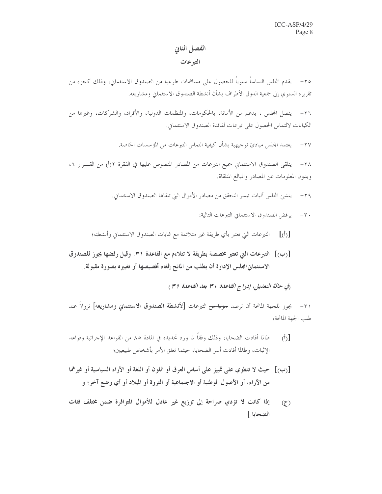#### الفصل الثاني

#### التبرعات

٢٥– يقدم المجلس التماساً سنوياً للحصول على مساهمات طوعية من الصندوق الاستئماني، وذلك كجزء من تقريره السنوي إلى جمعية الدول الأطراف بشأن أنشطة الصندوق الاستئماني ومشاريعه.

يتصل المحلس ، بدعم من الأمانة، بالحكومات، والمنظمات الدولية، والأفراد، والشركات، وغيرها من  $-77$ الكيانات لالتماس الحصول على تبرعات لفائدة الصندوق الاستئماني.

> يعتمد المحلس مبادئ توجيهية بشأن كيفية التماس التبرعات من المؤسسات الخاصة.  $-\tau v$

يتلقى الصندوق الاستئماني جميع التبرعات من المصادر المنصوص عليها في الفقرة ٢(أ) من القــــرار ٦،  $-\tau \wedge$ ويدون المعلومات عن المصادر والمبالغ المتلقاة.

٢٩ – ينشئ المجلس آليات تيسر التحقق من مصادر الأموال التي تلقاها الصندوق الاستئماني.

٣٠ - يرفض الصندوق الاستئماني التبرعات التالية:

[(أ)] التبرعات التي تعتبر بأي طريقة غير متلائمة مع غايات الصندوق الاستئماني وأنشطته؛

[(ب)] التبرعات التي تعتبر مخصصة بطريقة لا تتلاءم مع القاعدة ٣١. وقبل رفضها يجوز للصندوق الاستئماني/مجلس الإدارة أن يطلب من المانح إلغاء تخصيصها أو تغييره بصورة مقبولة.]

(في حالة التعديل، إدراج القاعدة ٣٠ بعد القاعدة (٣)

٣١- يجوز للجهة المانحة أن ترصد <del>حزءا من</del> التبرعات **[لأنشطة الصندوق الاستئماني ومشاريعه]** نزولاً عند طلب الجهة المانحة،

- طالما أفادت الضحايا، وذلك وفقاً لما ورد تحديده في المادة ٨٥ من القواعد الإجرائية وفواعد  $\overline{(\delta)}$ الإثبات، وطالما أفادت أسر الضحايا، حيثما تعلق الأمر بأشخاص طبيعيين؛
- [(ب)] حيث لا تنطوي على تمييز على أساس العرق أو اللون أو اللغة أو الأراء السياسية أو غيرهما من الآراء، أو الأصول الوطنية أو الاجتماعية أو الثروة أو الميلاد أو أي وضع آخر؛ و
- إذا كانت لا تؤدي صراحة إلى توزيع غير عادل للأموال المتوافرة ضمن مختلف فئات  $(7)$ الضحايا.]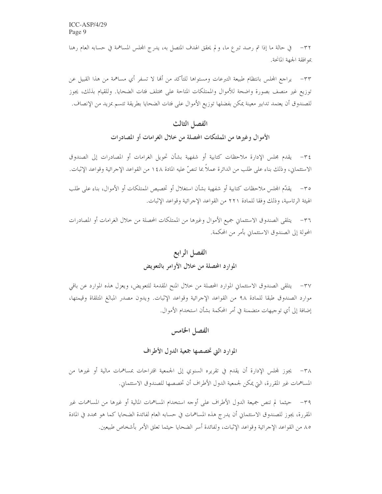٣٢- في حالة ما إذا تم رصد تبرع ما، ولم يحقق الهدف المتصل به، يدرج المجلس المساهمة في حسابه العام رهنا بموافقة الجهة المانحة.

٣٣– يراجع المجلس بانتظام طبيعة التبرعات ومستواها للتأكد من ألها لا تسفر أي مساهمة من هذا القبيل عن توزيع غير منصف بصورة واضحة للأموال والممتلكات المتاحة على مختلف فثات الضحايا. وللقيام بذلك، يجوز للصندوق أن يعتمد تدابير معينة يمكن بفضلها توزيع الأموال على فئات الضحايا بطريقة تتسم بمزيد من الإنصاف.

## الفصل الثالث الأموال وغيرها من المملتكات المحصلة من خلال الغرامات أو المصادرات

٣٤- يقدم مجلس الإدارة ملاحظات كتابية أو شفهية بشأن تحويل الغرامات أو المصادرات إلى الصندوق الاستئماني، وذلك بناء على طلب من الدائرة عملاً بما تنصُّ عليه المادة ١٤٨ من القواعد الإجرائية وقواعد الإثبات.

٣٥– يقدِّم المجلس ملاحظات كتابية أو شفهية بشأن استغلال أو تخصيص الممتلكات أو الأموال، بناء على طلب الهيئة الرئاسية، وذلك وفقا للمادة ٢٢١ من القواعد الإجرائية وقواعد الإثبات.

٣٦– يتلقى الصندوق الاستئماني جميع الأموال وغيرها من الممتلكات المحصلة من خلال الغرامات أو المصادرات المحولة إلى الصندوق الاستئماني بأمر من المحكمة.

## الفصل الرابع

#### الموارد المحصلة من خلال الأوامر بالتعويض

٣٧- يتلقى الصندوق الاستئماني الموارد المحصلة من خلال المنح المقدمة للتعويض، ويعزل هذه الموارد عن باقي موارد الصندوق طبقا للمادة ٩٨ من القواعد الإجرائية وقواعد الإثبات. ويدون مصدر المبالغ المتلقاة وقيمتها، إضافة إلى أي توجيهات متضمنة في أمر المحكمة بشأن استخدام الأموال.

#### الفصل الخامس

#### الموارد التي تخصصها جمعية الدول الأطراف

٣٨ – يجوز لمجلس الإدارة أن يقدم في تقريره السنوى إلى الجمعية اقتراحات بمساهمات مالية أو غيرها من المساهمات غير المقررة، التي يمكن لجمعية الدول الأطراف أن تخصصها للصندوق الاستئماني.

٣٩– حيثما لم تنص جميعة الدول الأطراف على أوجه استخدام المساهمات المالية أو غيرها من المساهمات غير المقررة، يجوز للصندوق الاستئماني أن يدرج هذه المساهمات في حسابه العام لفائدة الضحايا كما هو محدد في المادة ٨٥ من القواعد الإجرائية وقواعد الإثبات، ولفائدة أسر الضحايا حيثما تعلق الأمر بأشخاص طبيعين.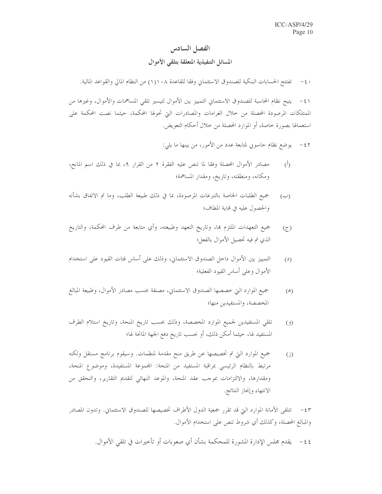## الفصل السادس المسائل التنفيذية المتعلقة بتلقى الأموال

٤٠ – تفتتح الحسابات البنكية للصندوق الاستئماني وفقا للقاعدة ١١١٨/ من النظام المالي والقواعد المالية.

يتيح نظام المحاسبة للصندوق الاستئماني التمييز بين الأموال لتيسير تلقى المساهمات والأموال، وغيرها من  $-\xi$ الممتلكات المرصودة المحصلة من حلال الغرامات والمصادرات التي تحولها المحكمة، حيثما نصت المحكمة على استعمالها بصورة خاصة، أو الموارد المحصلة من خلال أحكام التعويض.

- ٤٢ يوضع نظام حاسوبي لمتابعة عدد من الأمور، من بينها ما يلي:
- مصادر الأموال المحصلة وفقًا لما تنص عليه الفقرة ٢ من القرار ٩، بما في ذلك اسم المانح،  $\overline{(\overline{)}\,}$ ومكانه، ومنطقته، وتاريخ، ومقدار المساهمة؛
- جميع الطلبات الخاصة بالتبرعات المرصودة، بما في ذلك طبيعة الطلب، وما تم الاتفاق بشأنه  $(\hookrightarrow)$ والحصول عليه في نهاية المطاف؛
- جميع التعهدات الملتزم بما، وتاريخ التعهد وطبيعته، وأي متابعة من طرف المحكمة، والتاريخ  $\left( \overline{\zeta }\right)$ الذي تم فيه تحصيل الأموال بالفعل؛
- التمييز بين الأموال داخل الصندوق الاستئماني، وذلك على أساس فئات القيود على استخدام  $(2)$ الأموال وعلى أساس القيود الفعلية؛
- جميع الموارد التي خصصها الصندوق الاستئماني، مصنفة بحسب مصادر الأموال، وطبيعة المبالغ  $(\mathbb{A})$ المخصصة، والمستفيدين منها؛
- تلقى المستفيدين لجميع الموارد المخصصة، وذلك بحسب تاريخ المنحة، وتاريخ استلام الطرف  $(9)$ المستفيد لها، حيثما أمكن ذلك، أو بحسب تاريخ دفع الجهة المانحة لها؛
- جميع الموارد التي تم تخصيصها عن طريق منح مقدمة لمنظمات. وسيقوم برنامج مستقل ولكنه  $(i)$ مرتبط بالنظام الرئيسي بمراقبة المستفيد من المنحة: المجموعة المستفيدة، وموضوع المنحة، ومقدارها، والالتزامات بموجب عقد المنحة، والموعد النهائي لتقديم التقارير، والتحقق من الانتهاء وإنحاز النتائج.

٤٣ – تتلقى الأمانة الموارد التي قد تقرر جمعية الدول الأطراف تخصيصها للصندوق الاستئماني. وتدون المصادر والمبالغ المحصلة، وكذلك أي شروط تنص على استخدام الأموال.

٤٤– يقدم مجلس الإدارة المشورة للمحكمة بشأن أي صعوبات أو تأخيرات في تلقى الأموال.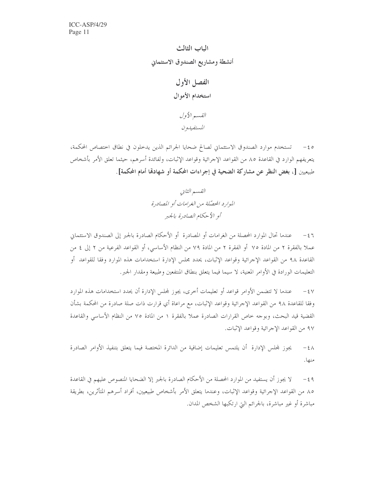

0 ٤- تستخدم موارد الصندوق الاستئماني لصالح ضحايا الجرائم الذين يدخلون في نطاق اختصاص المحكمة، يتعريفهم الوارد في القاعدة ٨٥ من القواعد الإجرائية وقواعد الإثبات، ولفائدة أسرهم، حيثما تعلق الأمر بأشخاص طبيعيين [، بغض النظر عن مشاركة الضحية في إجراءات المحكمة أو شهادقا أمام المحكمة].

> القسم الثاني الموارد المحصّلة من الغرامات أو المصادرة أو الأحكام الصادرة بالجير

عندما تحال الموارد المحصلة من الغرامات أو المصادرة ۖ أو الأحكام الصادرة بالجبر إلى الصندوق الاستئماني  $-\xi$ ٦ عملا بالفقرة ٢ من المادة ٧٥ أو الفقرة ٢ من المادة ٧٩ من النظام الأساسي، أو القواعد الفرعية من ٢ إلى ٤ من القاعدة ٩٨ من القواعد الإجرائية وقواعد الإثبات، يحدد مجلس الإدارة استخدامات هذه الموارد وفقا للقواعد أو التعليمات الورادة في الأوامر المعنية، لا سيما فيما يتعلق بنطاق المنتفعين وطبيعة ومقدار الجبر .

عندما لا تتضمن الأوامر قواعد أو تعليمات أخرى، يجوز لمجلس الإدارة أن يحدد استخدامات هذه الموارد  $-\xi$   $\vee$ وفقا للقاعدة ٩٨ من القواعد الإحرائية وقواعد الإثبات، مع مراعاة أي قرارت ذات صلة صادرة من المحكمة بشأن القضية قيد البحث، وبوجه حاص القرارات الصادرة عملاً بالفقرة ١ من المادة ٧٥ من النظام الأساسي والقاعدة ٩٧ من القواعد الإجرائية وقواعد الإثبات.

يجوز لمجلس الإدارة أن يلتمس تعليمات إضافية من الدائرة المختصة فيما يتعلق بتنفيذ الأوامر الصادرة  $-\xi \wedge$ منها.

لا يجوز أن يستفيد من الموارد المحصلة من الأحكام الصادرة بالجبر إلا الضحايا المنصوص عليهم في القاعدة  $-59$ ٨٥ من القواعد الإجرائية وقواعد الإثبات، وعندما يتعلق الأمر بأشخاص طبيعيين، أفراد أسرهم المتأثرين، بطريقة مباشرة أو غير مباشرة، بالجرائم التي ارتكبها الشخص المدان.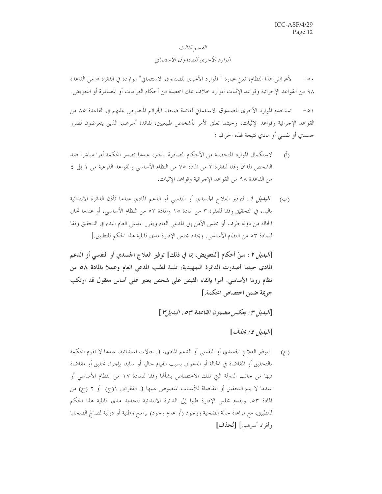## القسم الثالث الموارد الأحرى للصندوق الاستئماني

٥٠ – لأغراض هذا النظام، تعني عبارة " الموارد الأخرى للصندوق الاستئماني" الواردة في الفقرة ٥ من القاعدة ٩٨ من القواعد الإجرائية وقواعد الإثبات الموارد خلاف تلك المحصلة من أحكام الغرامات أو المصادرة أو التعويض.

تستخدم الموارد الأخرى للصندوق الاستئماني لفائدة ضحايا الجرائم المنصوص عليهم في القاعدة ٨٥ من  $-\circ$ ) القواعد الإحرائية وقواعد الإثبات، وحيثما تعلق الأمر بأشخاص طبيعيين، لفائدة أسرهم، الذين يتعرضون لضرر جسدي أو نفسي أو مادي نتيجة لهذه الجرائم :

- لاستكمال الموارد المتحصلة من الأحكام الصادرة بالجبر، عندما تصدر المحكمة أمرا مباشرا ضد  $\langle \hat{L} \rangle$ الشخص المدان وفقا للفقرة ٢ من المادة ٧٥ من النظام الأساسي والقواعد الفرعية من ١ إلى ٤ من القاعدة ٩٨ من القواعد الإجرائية وقواعد الإثبات،
- بالبدء في التحقيق وفقا للفقرة ٣ من المادة ١٥ والمادة ٥٣ من النظام الأساسي، أو عندما تحال الحالة من دولة طرف أو مجلس الأمن إلى المدعى العام ويقرر المدعى العام البدء في التحقيق وفقا للمادة ٥٣ من النظام الأساسي. ويحدد مجلس الإدارة مدى قابلية هذا الحكم للتطبيق.]

[ا*لبديل ٢* : سنّ أحكام [للتعويض، بما في ذلك] توفير العلاج الجسدي أو النفسي أو الدعم المادي حيثما أصدرت الدائرة التمهيدية، تلبية لطلب المدعى العام وعملا بالمادة ٥٨ من نظام روما الأساسي، أمرا بإلقاء القبض على شخص يعتبر على أساس معقول قد ارتكب جريمة ضمن اختصاص المحكمة.]

[البديل ٣: يعكس مضمون القاعدة ٥٣، البديل ٣ ]

البديل ٤: يحذف ]

[لتوفير العلاج الجسدي أو النفسي أو الدعم المادي، في حالات استثنائية، عندما لا تقوم المحكمة  $(\tau)$ بالتحقيق أو المقاضاة في الحالة أو الدعوى بسبب القيام حاليا أو سابقا بإجراء تحقيق أو مقاضاة فيها من حانب الدولة التي تملك الاختصاص بشأمًا وفقا للمادة ١٧ من النظام الأساسي أو عندما لا يتم التحقيق أو المقاضاة للأسباب المنصوص عليها في الفقرتين ١(ج) أو ٢ (ج) من المادة ٥٣. ويقدم مجلس الإدارة طلبا إلى الدائرة الابتدائية لتحديد مدى قابلية هذا الحكم للتطبيق، مع مراعاة حالة الضحية ووجود (أو عدم وجود) برامج وطنية أو دولية لصالح الضحايا وأفراد أسرهم.] [تُحذف]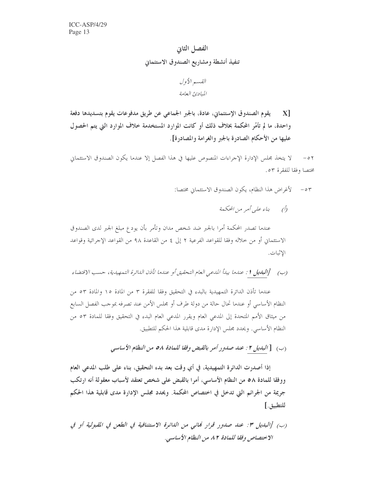الفصل الثاني تنفيذ أنشطة ومشاريع الصندوق الاستئماني

القسيع الأول المبادئ العامة

يقوم الصندوق الإستئماني، عادة، بالجبر الجماعي عن طريق مدفوعات يقوم بتسديدها دفعة X<sub>1</sub> واحدة، ما لم تأمُرِ المحكمة بخلاف ذلك أو كانت الموارد المستخدمة خلاف الموارد التي يتم الحصول عليها من الأحكام الصادرة بالجبر والغرامة والمصادرة].

لا يتخذ مجلس الإدارة الإجراءات المنصوص عليها في هذا الفصل إلا عندما يكون الصندوق الاستئماني  $-0<sup>1</sup>$ مختصا وفقا للفقرة ٥٣.

> لأغراض هذا النظام، يكون الصندوق الاستئماني مختصا:  $- \circ r$

> > (أ) بناء علي أمر من المحكمة

عندما تصدر المحكمة أمرا بالجبر ضد شخص مدان وتأمر بأن يودع مبلغ الجبر لدى الصندوق الاستئماني أو من خلاله وفقا للقواعد الفرعية ٢ إلى ٤ من القاعدة ٩٨ من القواعد الإجرائية وقواعد الإثبات.

عندما تأذن الدائرة التمهيدية بالبدء في التحقيق وفقا للفقرة ٣ من المادة ١٥ والمادة ٥٣ من النظام الأساسي أو عندما تحال حالة من دولة طرف أو مجلس الأمن عند تصرفه بموجب الفصل السابع من ميثاق الأمم المتحدة إلى المدعى العام ويقرر المدعى العام البدء في التحقيق وفقا للمادة ٥٣ من النظام الأساسي. ويحدد مجلس الإدارة مدى قابلية هذا الحكم للتطبيق.

(ب) [البديل ٢ : عند صدور أمر بالقبض وفقا للمادة ٥٨ من النظام الأساسي

إذا أصدرت الدائرة التمهيدية، في أي وقت بعد بدء التحقيق، بناء على طلب المدعى العام ووفقًا للمادة ٥٨ من النظام الأساسي، أمرا بالقبض على شخص تعتقد لأسباب معقولة أنه ارتكب جريمة من الجرائم التي تدخل في اختصاص المحكمة. ويحدد مجلس الإدارة مدى قابلية هذا الحكم للتطبيق.]

(ب) [البديل ٣: عند صدور قرار كلائي من الدائرة الاستئنافية في الطعن في القبولية أو في الاختصاص وفقا للمادة ٨٢ من النظام الأساسي.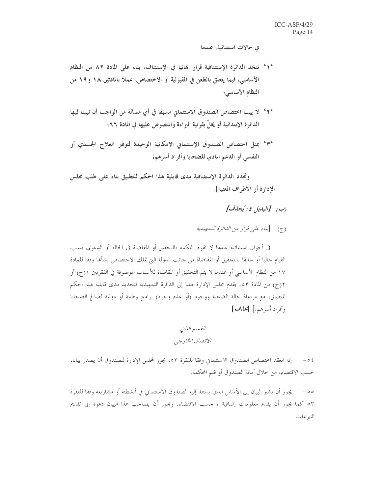في حالات استثنائية، عندما

- 1° تتخذ الدائرة الإستئنافية قرارا نهائيا في الإستئناف، بناء على المادة ٨٢ من النظام الأساسي، فيما يتعلق بالطعن في المقبولية أو الاختصاص، عملاً بالمادتين ١٨ و١٩ من النظام الأساسى؛
- ٢٠ لا يبت اختصاص الصندوق الاستئماني مسبقا في أي مسألة من الواجب أن تبت فيها الدائرة الإبتدائية أو يخلُّ بقرنية البراءة والمنصوص عليها في المادة ٦٦؛
- °۳° يمثل اختصاص الصندوق الإستئماني الامكانية الوحيدة لتوفير العلاج الجسدي أو النفسي أو الدعم المادي للضحايا وأفراد أسرهم؛

وتحدد الدائرة الإستئنافية مدى قابلية هذا الحكم للتطبيق بناء على طلب مجلس الإدارة أو الأطراف المعنية].

(ب) [البديل ٤: يُحذف]

(ج) [بناء على قرار من الليائرة التمصيلية

في أحوال استثنائية عندما لا تقوم المحكمة بالتحقيق أو المقاضاة في الحالة أو الدعوى بسبب القيام حاليا أو سابقا بالتحقيق أو المقاضاة من حانب الدولة التي تملك الاختصاص بشألها وفقا للمادة ١٧ من النظام الأساسي أو عندما لا يتم التحقيق أو المقاضاة للأسباب الموصوفة في الفقرتين ١(ج) أو ٢(ج) من المادة ٥٣، يقدم مجلس الإدارة طلبا إلى الدائرة التمهيدية لتحديد مدى قابلية هذا الحكم للتطبيق، مع مراعاة حالة الضحية ووجود (أو عدم وجود) برامج وطنية أو دولية لصالح الضحايا وأفراد أسرهيه.] [يحذف]

القسم الثاني الاتصال الخارجي

٤٥– إذا انعقد اختصاص الصندوق الاستئماني وفقا للفقرة ٥٣، يجوز لمحلس الإدارة للصندوق أن يصدر بيانا، حسب الاقتضاء، من حلال أمانة الصندوق أو قلم المحكمة.

يجوز أن يشير البيان إلى الأساس الذي يستند إليه الصندوق الاستئماني في أنشطته أو مشاريعه وفقا للفقرة  $-\circ \circ$ ٥٣ كما يجوز أن يقدم معلومات إضافية ، حسب الاقتضاء. ويجوز أن يصاحب هذا البيان دعوة إلى تقديم التبرعات.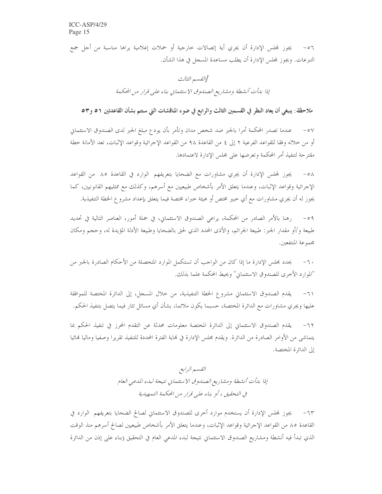٥٦ – يجوز لمجلس الإدارة أن يجري أية إتصالات خارجية أو حملات إعلامية يراها مناسبة من أجل جمع التبرعات. ويجوز لمحلس الإدارة أن يطلب مساعدة المسجل في هذا الشأن.

> [القسم الثالث إذا بدأت أنشطة ومشاريع الصندوق الاستئماني بناء على قرار من المحكمة

ملاحظة: ينبغي أن يعاد النظر في القسمين الثالث والرابع في ضوء المناقشات التي ستتم بشأن القاعدتين ٥١ و٥٣

عندما تصدر المحكمة أمرا بالجبر ضد شخص مدان وتأمر بأن يودع مبلغ الجبر لدى الصندوق الاستئماني  $-\circ \vee$ أو من خلاله وفقا للقواعد الفرعية ٢ إلى ٤ من القاعدة ٩٨ من القواعد الإجرائية وقواعد الإثبات، تعد الأمانة خطة مقترحة لتنفيذ أمر المحكمة وتعرضها على مجلس الإدارة لاعتمادها.

يجوز لمحلس الإدارة أن يجري مشاورات مع الضحايا بتعريفهم الوارد في القاعدة ٨٥ من القواعد  $-\circ \wedge$ الإجرائية وقواعد الإثبات، وعندما يتعلق الأمر بأشخاص طبيعيين مع أسرهم، وكذلك مع ممثليهم القانونيين، كما يجوز له أن يجري مشاورات مع أي خبير مختص أو هيئة خبراء مختصة فيما يتعلق بإعداد مشرو ع الخطة التنفيذية.

رهنا بالأمر الصادر من المحكمة، يراعى الصندوق الاستئماني، في جملة أمور، العناصر التالية في تحديد  $-09$ طبيعة و/أو مقدار الجبر: طبيعة الجرائم، والأذى المحدد الذي لحق بالضحايا وطبيعة الأدلة المؤيدة له، وحجم ومكان مجموعة المنتفعين.

يحدد مجلس الإدارة ما إذا كان من الواجب أن تستكمل الموارد المتحصلة من الأحكام الصادرة بالجبر من  $-7.$ "الموارد الأخرى للصندوق الاستئماني" ويحيط المحكمة علما بذلك.

يقدم الصندوق الاستئماني مشروع الخطة التنفيذية، من حلال المسجل، إلى الدائرة المختصة للموافقة  $-71$ عليها ويجري مشاورات مع الدائرة المختصة، حسبما يكون ملائما، بشأن أي مسائل تثار فيما يتصل بتنفيذ الحكم.

يقدم الصندوق الاستئماني إلى الدائرة المختصة معلومات محدثة عن التقدم المحرز في تنفيذ الحكم بما  $-77$ يتماشى من الأوامر الصادرة من الدائرة. ويقدم مجلس الإدارة في نماية الفترة المحددة للتنفيذ تقريرا وصفيا وماليا نمائيا إلى الدائرة المختصة.

> القسم الرابع إذا بدأت أنشطة ومشاريع الصندوق الاستئماني نتيجة لبدء المدعى العام في التحقيق ، أو بناء على قرار من المحكمة التمهيدية

٦٣– يجوز لمحلس الإدارة أن يستخدم موارد أخرى للصندوق الاستئماني لصالح الضحايا بتعريفهم الوارد في القاعدة ٨٥ من القواعد الإجرائية وقواعد الإثبات، وعندما يتعلق الأمر بأشخاص طبيعيين لصالح أسرهم منذ الوقت الذي تبدأ فيه أنشطة ومشاريع الصندوق الاستئماني نتيجة لبدء المدعى العام في التحقيق (بناء على إذن من الدائرة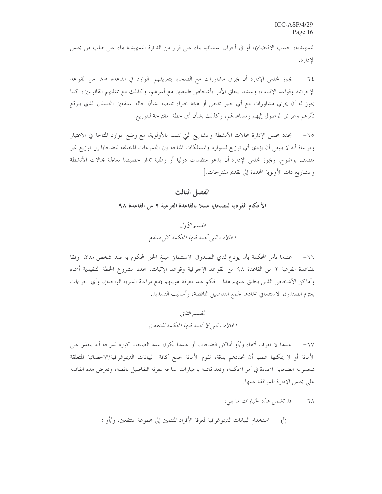التمهيدية، حسب الاقتضاء)، أو في أحوال استثنائية بناء على قرار من الدائرة التمهيدية بناء على طلب من مجلس الإدارة.

يجوز لمجلس الإدارة أن يجري مشاورات مع الضحايا بتعريفهم الوارد في القاعدة ٨٥ من القواعد  $-72$ الإحرائية وقواعد الإثبات، وعندما يتعلق الأمر بأشخاص طبيعيين مع أسرهم، وكذلك مع ممثليهم القانونيين، كما يجوز له أن يجري مشاورات مع أي حبير مختص أو هيئة حبراء مختصة بشأن حالة المنتفعين المحتملين الذي يتوقع تأثرهم وطرائق الوصول إليهم ومساعدقم، وكذلك بشأن أي حطة ً مقترحة للتوزيع.

يحدد مجلس الإدارة مجالات الأنشطة والمشاريع التي تتسم بالأولوية، مع وضع الموارد المتاحة في الاعتبار  $-70$ ومراعاة أنه لا ينبغي أن يؤدي أي توزيع للموارد والممتلكات المتاحة بين المحموعات المختلفة للضحايا إلى توزيع غير منصف بوضوح. ويجوز لمحلس الإدارة أن يدعو منظمات دولية أو وطنية تدار خصيصا لمعالجة مجالات الأنشطة والمشاريع ذات الأولوية المحددة إلى تقديم مقترحات.]

#### الفصل الثالث

الأحكام الفردية للضحايا عملا بالقاعدة الفرعية ٢ من القاعدة ٩٨

القسم الأول الحالات التي تحدد فيها المحكمة كل منتفع

عندما تأمر المحكمة بأن يودع لدي الصندوق الاستئماني مبلغ الجبر المحكوم به ضد شخص مدان وفقا  $-77$ للقاعدة الفرعية ٢ من القاعدة ٩٨ من القواعد الإحرائية وقواعد الإثبات، يحدد مشروع الخطة التنفيذية أسماء وأماكن الأشخاص الذين ينطبق عليهم هذا الحكم عند معرفة هويتهم (مع مراعاة السرية الواجبة)، وأي اجراءات يعتزم الصندوق الاستئماني اتخاذها لجمع التفاصيل الناقصة، وأساليب التسديد.

## القسم الثاني الحالات التي لا تحدد فيها المحكمة المنتفعين

عندما لا تعرف أسماء و/أو أماكن الضحايا، أو عندما يكون عدد الضحايا كبيرة لدرجة أنه يتعذر على  $-7V$ الأمانة أو لا يمكنها عمليا أن تحددهم بدقة، تقوم الأمانة بجمع كافة البيانات الديموغرافية/الاحصائية المتعلقة بمجموعة الضحايا المحددة في أمر المحكمة، وتعد قائمة بالخيارات المتاحة لمعرفة التفاصيل ناقصة، وتعرض هذه القائمة على مجلس الإدارة للموافقة عليها.

> ٦٨ – قد تشمل هذه الخيارات ما يلي: استخدام البيانات الديموغرافية لمعرفة الأفراد المنتمين إلى مجموعة المنتفعين، و/أو :  $\overline{(\cdot)}$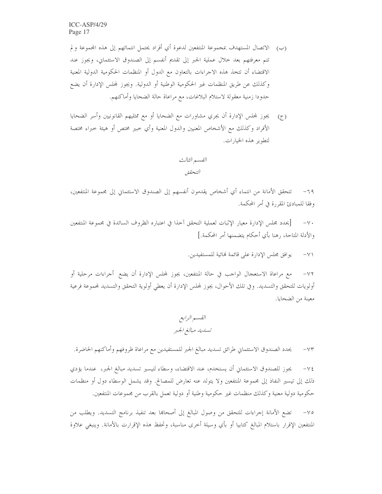- (ب) الاتصال المستهدف بمجموعة المنتفعين لدعوة أي أفراد يحتمل انتمائهم إلى هذه المجموعة ولم تتم معرفتهم بعد حلال عملية الجبر إلى تقديم أنفسم إلى الصندوق الاستئماني، ويجوز عند الاقتضاء أن تتخذ هذه الاجراءات بالتعاون مع الدول أو المنظمات الحكومية الدولية المعنية وكذلك عن طريق المنظمات غير الحكومية الوطنية أو الدولية. ويجوز لمحلس الإدارة أن يضع حدودا زمنية معقولة لاستلام البلاغات، مع مراعاة حالة الضحايا وأماكنهم.
- يجوز لمحلس الإدارة أن يجري مشاورات مع الضحايا أو مع ممثليهم القانونيين وأسر الضحايا  $(\tau)$ الأفراد وكذلك مع الأشخاص المعنيين والدول المعنية وأي خبير مختص أو هيئة خبراء مختصة لتطوير هذه الخيارات.

تتحقق الأمانة من انتماء أي أشخاص يقدمون أنفسهم إلى الصندوق الاستئماني إلى مجموعة المنتفعين،  $-79$ وفقا للمبادئ المقررة في أمر المحكمة.

[يحدد مجلس الإدارة معيار الإثبات لعملية التحقق آخذا في اعتباره الظروف السائدة في مجموعة المنتفعين  $-\vee$ . والأدلة المتاحة، رهنا بأي أحكام يتضمنها أمر المحكمة.]

> يوافق مجلس الإدارة على قائمة لهائية للمستفيدين.  $-\vee$

مع مراعاة الاستعجال الواحب في حالة المنتفعين، يجوز لمحلس الإدارة أن يضع أجراءات مرحلية أو  $-\vee\Upsilon$ أولويات للتحقق والتسديد. وفي تلك الأحوال، يجوز لمحلس الإدارة أن يعطي أولوية التحقق والتسديد لمحموعة فرعية معينة من الضحايا.

يحدد الصندوق الاستئماني طرائق تسديد مبالغ الجبر للمستفيدين مع مراعاة ظروفهم وأماكنهم الحاضرة.  $-\vee\uparrow$ 

يجوز للصندوق الاستئماني أن يستخدم، عند الاقتضاء، وسطاء لتيسير تسديد مبالغ الجبر، عندما يؤدي  $-\vee \xi$ ذلك إلى تيسير النفاذ إلى مجموعة المنتفعين ولا يتولد عنه تعارض للمصالح. وقد يشمل الوسطاء دول أو منظمات حكومية دولية معنية وكذلك منظمات غير حكومية وطنية أو دولية تعمل بالقرب من محموعات المنتفعين.

تضع الأمانة إجراءات للتحقق من وصول المبالغ إلى أصحاها بعد تنفيذ برنامج التسديد. ويطلب من  $-\vee$ المنتفعين الإقرار باستلام المبالغ كتابيا أو بأي وسيلة أخرى مناسبة، وتحفظ هذه الإقرارت بالأمانة. وينبغى علاوة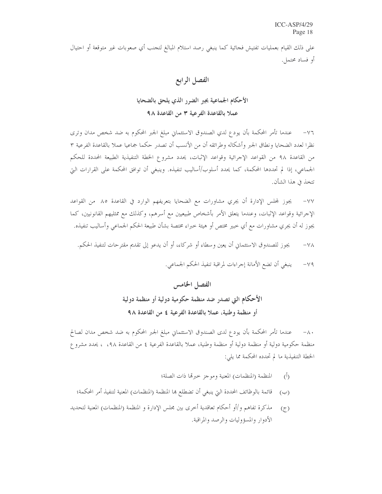على ذلك القيام بعمليات تفتيش فجائية كما ينبغي رصد استلام المبالغ لتجنب أي صعوبات غير متوقعة أو احتيال أو فساد محتمل.

### الفصل الرابع

## الأحكام الجماعية بجبر الضرر الذي يلحق بالضحايا عملا بالقاعدة الفرعية ٣ من القاعدة ٩٨

٧٦– عندما تأمر المحكمة بأن يودع لدي الصندوق الاستئماني مبلغ الجبر المحكوم به ضد شخص مدان وترى نظرا لعدد الضحايا ونطاق الجبر وأشكاله وطرائقه أن من الأنسب أن تصدر حكما جماعيا عملا بالقاعدة الفرعية ٣ من القاعدة ٩٨ من القواعد الإحرائية وقواعد الإثبات، يحدد مشروع الخطة التنفيذية الطبيعة المحددة للحكم الجماعي، إذا لم تحددها المحكمة، كما يحدد أسلوب/أساليب تنفيذه. وينبغي أن توافق المحكمة على القرارات البيّ تتخذ في هذا الشأن.

يجوز لمحلس الإدارة أن يجري مشاورات مع الضحايا بتعريفهم الوارد في القاعدة ٨٥ من القواعد  $-\sqrt{v}$ الإحرائية وقواعد الإثبات، وعندما يتعلق الأمر بأشخاص طبيعيين مع أسرهم، وكذلك مع ممثليهم القانونيين، كما يجوز له أن يجري مشاورات مع أي خبير مختص أو هيئة خبراء مختصة بشأن طبيعة الحكم الجماعبي وأساليب تنفيذه.

يجوز للصندوق الاستئماني أن يعين وسطاء أو شركاء، أو أن يدعو إلى تقديم مقترحات لتنفيذ الحكم.  $-\sqrt{\lambda}$ 

> ينبغي أن تضع الأمانة إجراءات لمراقبة تنفيذ الحكم الجماعي.  $-\gamma$ 9

الفصل الخامس الأحكام التي تصدر ضد منظمة حكومية دولية أو منظمة دولية أو منظمة وطنية، عملا بالقاعدة الفرعية ٤ من القاعدة ٩٨

٨٠- عندما تأمر المحكمة بأن يودع لدى الصندوق الاستئماني مبلغ الجبر المحكوم به ضد شخص مدان لصالح منظمة حكومية دولية أو منظمة دولية أو منظمة وطنية، عملا بالقاعدة الفرعية ٤ من القاعدة ٥٩٨، ، يحدد مشرو ع الخطة التنفيذية ما لم تحدده المحكمة مما يلي:

- المنظمة (المنظمات) المعنية وموجز حبرقما ذات الصلة؛  $\overline{(\cdot)}$
- قائمة بالوظائف المحددة التي ينبغي أن تضطلع بما المنظمة (المنظمات) المعنية لتنفيذ أمر المحكمة؛  $(\cup)$
- مذكرة تفاهم و/أو أحكام تعاقدية أخرى بين مجلس الإدارة و المنظمة (المنظمات) المعنية لتحديد  $(5)$ الأدوار والمسؤوليات والرصد والمراقبة.